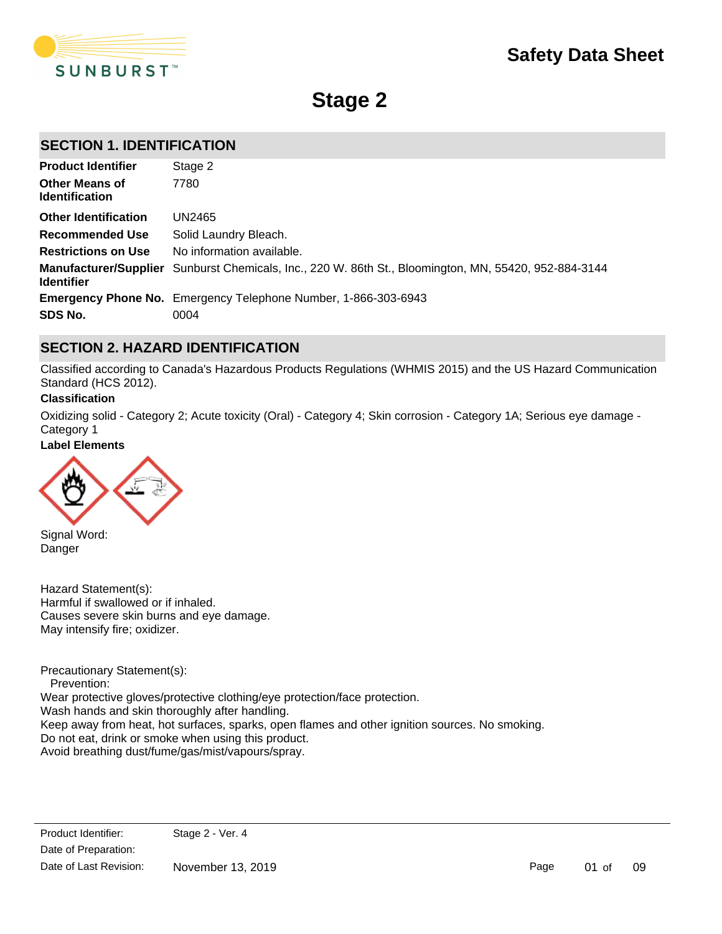

**Stage 2**

# **SECTION 1. IDENTIFICATION**

| <b>Product Identifier</b>                      | Stage 2                                                                                                      |
|------------------------------------------------|--------------------------------------------------------------------------------------------------------------|
| <b>Other Means of</b><br><b>Identification</b> | 7780                                                                                                         |
| <b>Other Identification</b>                    | UN2465                                                                                                       |
| <b>Recommended Use</b>                         | Solid Laundry Bleach.                                                                                        |
| <b>Restrictions on Use</b>                     | No information available.                                                                                    |
| <b>Identifier</b>                              | <b>Manufacturer/Supplier</b> Sunburst Chemicals, Inc., 220 W. 86th St., Bloomington, MN, 55420, 952-884-3144 |
|                                                | <b>Emergency Phone No.</b> Emergency Telephone Number, 1-866-303-6943                                        |
| SDS No.                                        | 0004                                                                                                         |

# **SECTION 2. HAZARD IDENTIFICATION**

Classified according to Canada's Hazardous Products Regulations (WHMIS 2015) and the US Hazard Communication Standard (HCS 2012).

### **Classification**

Oxidizing solid - Category 2; Acute toxicity (Oral) - Category 4; Skin corrosion - Category 1A; Serious eye damage - Category 1

### **Label Elements**



Signal Word: Danger

Hazard Statement(s): Harmful if swallowed or if inhaled. Causes severe skin burns and eye damage. May intensify fire; oxidizer.

Precautionary Statement(s): Prevention: Wear protective gloves/protective clothing/eye protection/face protection. Wash hands and skin thoroughly after handling. Keep away from heat, hot surfaces, sparks, open flames and other ignition sources. No smoking. Do not eat, drink or smoke when using this product. Avoid breathing dust/fume/gas/mist/vapours/spray.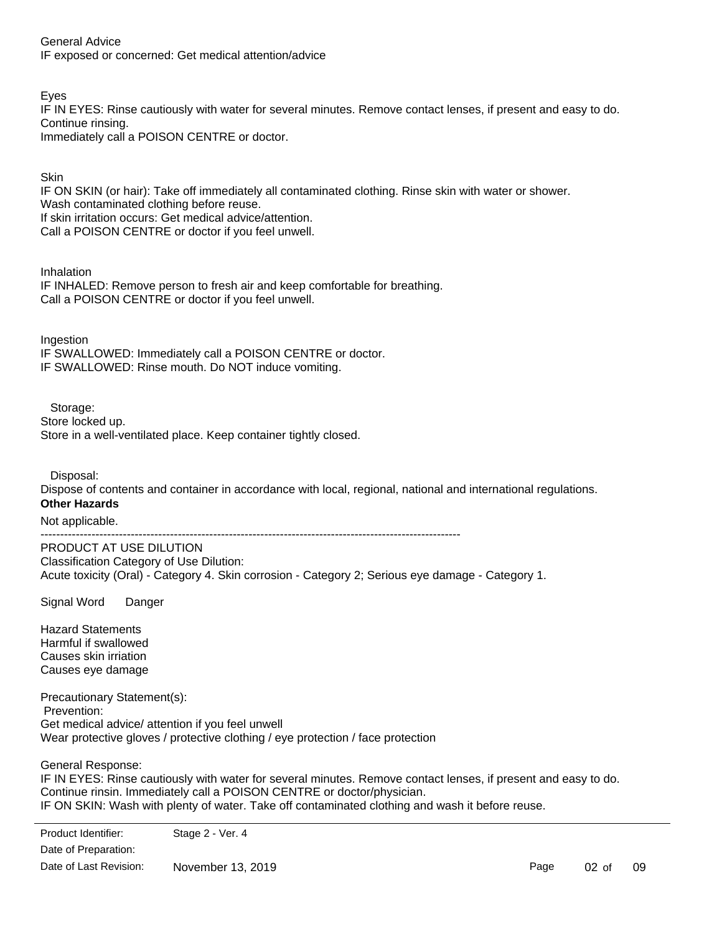General Advice IF exposed or concerned: Get medical attention/advice

Eyes

IF IN EYES: Rinse cautiously with water for several minutes. Remove contact lenses, if present and easy to do. Continue rinsing.

Immediately call a POISON CENTRE or doctor.

**Skin** 

IF ON SKIN (or hair): Take off immediately all contaminated clothing. Rinse skin with water or shower. Wash contaminated clothing before reuse. If skin irritation occurs: Get medical advice/attention. Call a POISON CENTRE or doctor if you feel unwell.

Inhalation

IF INHALED: Remove person to fresh air and keep comfortable for breathing. Call a POISON CENTRE or doctor if you feel unwell.

Ingestion IF SWALLOWED: Immediately call a POISON CENTRE or doctor. IF SWALLOWED: Rinse mouth. Do NOT induce vomiting.

Storage:

Store locked up. Store in a well-ventilated place. Keep container tightly closed.

Disposal:

Dispose of contents and container in accordance with local, regional, national and international regulations. **Other Hazards**

Not applicable.

-----------------------------------------------------------------------------------------------------------

PRODUCT AT USE DILUTION Classification Category of Use Dilution: Acute toxicity (Oral) - Category 4. Skin corrosion - Category 2; Serious eye damage - Category 1.

Signal Word Danger

Hazard Statements Harmful if swallowed Causes skin irriation Causes eye damage

Precautionary Statement(s): Prevention: Get medical advice/ attention if you feel unwell Wear protective gloves / protective clothing / eye protection / face protection

General Response:

IF IN EYES: Rinse cautiously with water for several minutes. Remove contact lenses, if present and easy to do. Continue rinsin. Immediately call a POISON CENTRE or doctor/physician. IF ON SKIN: Wash with plenty of water. Take off contaminated clothing and wash it before reuse. IF INHALED: Remove victim to fresh air and keep at rest in a position comfortable for breathing. Call a POISON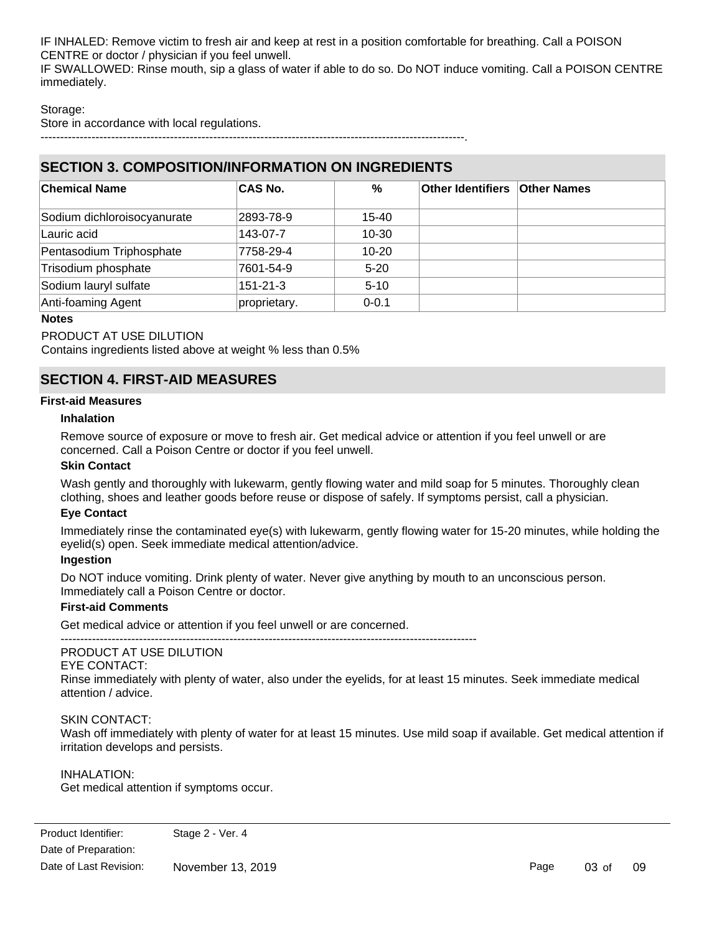IF INHALED: Remove victim to fresh air and keep at rest in a position comfortable for breathing. Call a POISON CENTRE or doctor / physician if you feel unwell. IF SWALLOWED: Rinse mouth, sip a glass of water if able to do so. Do NOT induce vomiting. Call a POISON CENTRE immediately.

## Storage:

Store in accordance with local regulations.

------------------------------------------------------------------------------------------------------------.

# **SECTION 3. COMPOSITION/INFORMATION ON INGREDIENTS**

| <b>Chemical Name</b>        | <b>CAS No.</b> | %         | <b>Other Identifiers Other Names</b> |  |
|-----------------------------|----------------|-----------|--------------------------------------|--|
| Sodium dichloroisocyanurate | 2893-78-9      | $15 - 40$ |                                      |  |
| Lauric acid                 | 143-07-7       | $10 - 30$ |                                      |  |
| Pentasodium Triphosphate    | 7758-29-4      | $10 - 20$ |                                      |  |
| Trisodium phosphate         | 7601-54-9      | $5 - 20$  |                                      |  |
| Sodium lauryl sulfate       | $151 - 21 - 3$ | $5 - 10$  |                                      |  |
| Anti-foaming Agent          | proprietary.   | $0 - 0.1$ |                                      |  |

### **Notes**

PRODUCT AT USE DILUTION

Contains ingredients listed above at weight % less than 0.5%

# **SECTION 4. FIRST-AID MEASURES**

### **First-aid Measures**

### **Inhalation**

Remove source of exposure or move to fresh air. Get medical advice or attention if you feel unwell or are concerned. Call a Poison Centre or doctor if you feel unwell.

### **Skin Contact**

Wash gently and thoroughly with lukewarm, gently flowing water and mild soap for 5 minutes. Thoroughly clean clothing, shoes and leather goods before reuse or dispose of safely. If symptoms persist, call a physician.

## **Eye Contact**

Immediately rinse the contaminated eye(s) with lukewarm, gently flowing water for 15-20 minutes, while holding the eyelid(s) open. Seek immediate medical attention/advice.

## **Ingestion**

Do NOT induce vomiting. Drink plenty of water. Never give anything by mouth to an unconscious person. Immediately call a Poison Centre or doctor.

### **First-aid Comments**

Get medical advice or attention if you feel unwell or are concerned.

----------------------------------------------------------------------------------------------------------

# PRODUCT AT USE DILUTION

### EYE CONTACT:

Rinse immediately with plenty of water, also under the eyelids, for at least 15 minutes. Seek immediate medical attention / advice.

## SKIN CONTACT:

Wash off immediately with plenty of water for at least 15 minutes. Use mild soap if available. Get medical attention if irritation develops and persists.

INHALATION:

Get medical attention if symptoms occur.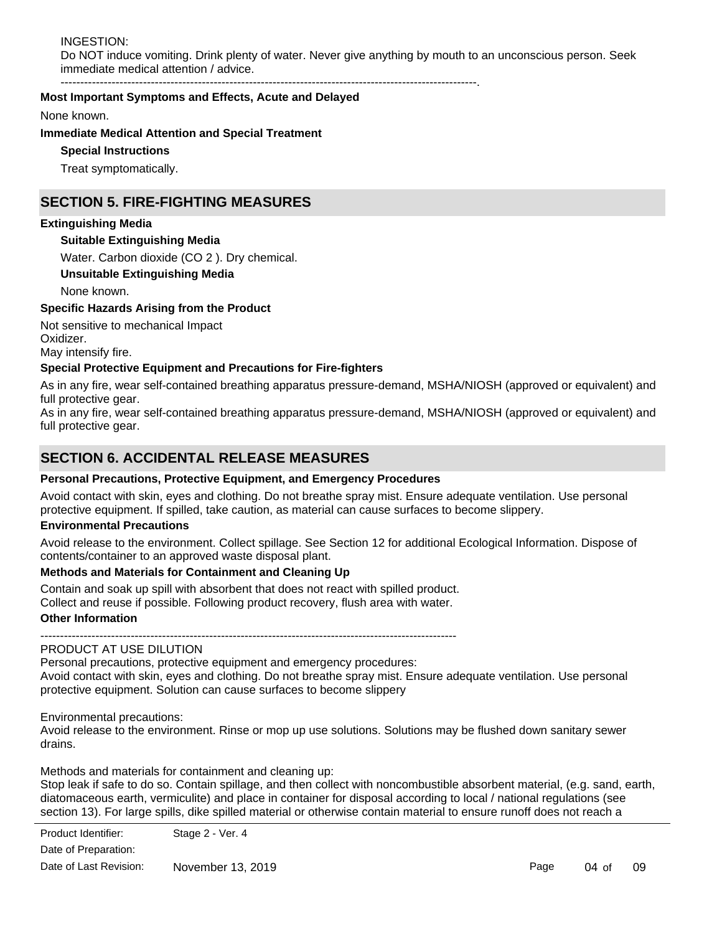INGESTION: Do NOT induce vomiting. Drink plenty of water. Never give anything by mouth to an unconscious person. Seek immediate medical attention / advice.

----------------------------------------------------------------------------------------------------------.

### **Most Important Symptoms and Effects, Acute and Delayed**

None known.

### **Immediate Medical Attention and Special Treatment**

**Special Instructions**

Treat symptomatically.

# **SECTION 5. FIRE-FIGHTING MEASURES**

### **Extinguishing Media**

### **Suitable Extinguishing Media**

Water. Carbon dioxide (CO 2 ). Dry chemical.

### **Unsuitable Extinguishing Media**

None known.

#### **Specific Hazards Arising from the Product**

Not sensitive to mechanical Impact Oxidizer.

May intensify fire.

### **Special Protective Equipment and Precautions for Fire-fighters**

As in any fire, wear self-contained breathing apparatus pressure-demand, MSHA/NIOSH (approved or equivalent) and full protective gear.

As in any fire, wear self-contained breathing apparatus pressure-demand, MSHA/NIOSH (approved or equivalent) and full protective gear.

# **SECTION 6. ACCIDENTAL RELEASE MEASURES**

### **Personal Precautions, Protective Equipment, and Emergency Procedures**

Avoid contact with skin, eyes and clothing. Do not breathe spray mist. Ensure adequate ventilation. Use personal protective equipment. If spilled, take caution, as material can cause surfaces to become slippery.

#### **Environmental Precautions**

Avoid release to the environment. Collect spillage. See Section 12 for additional Ecological Information. Dispose of contents/container to an approved waste disposal plant.

## **Methods and Materials for Containment and Cleaning Up**

Contain and soak up spill with absorbent that does not react with spilled product.

Collect and reuse if possible. Following product recovery, flush area with water.

#### **Other Information**

----------------------------------------------------------------------------------------------------------

# PRODUCT AT USE DILUTION

Personal precautions, protective equipment and emergency procedures: Avoid contact with skin, eyes and clothing. Do not breathe spray mist. Ensure adequate ventilation. Use personal protective equipment. Solution can cause surfaces to become slippery

Environmental precautions:

Avoid release to the environment. Rinse or mop up use solutions. Solutions may be flushed down sanitary sewer drains.

Methods and materials for containment and cleaning up:

Stop leak if safe to do so. Contain spillage, and then collect with noncombustible absorbent material, (e.g. sand, earth, diatomaceous earth, vermiculite) and place in container for disposal according to local / national regulations (see section 13). For large spills, dike spilled material or otherwise contain material to ensure runoff does not reach a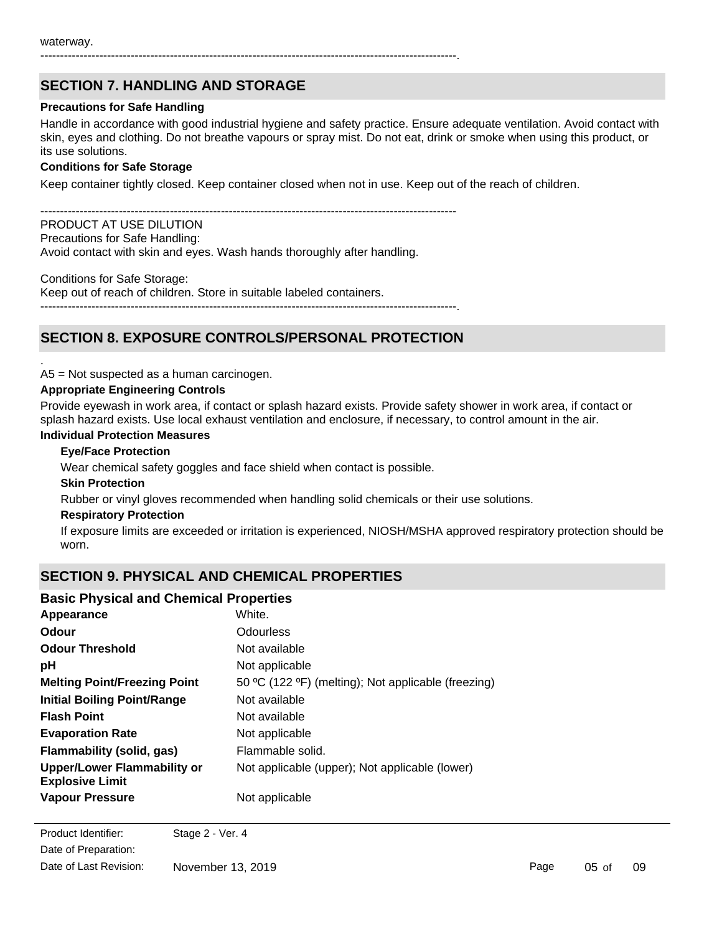----------------------------------------------------------------------------------------------------------.

# **SECTION 7. HANDLING AND STORAGE**

### **Precautions for Safe Handling**

Handle in accordance with good industrial hygiene and safety practice. Ensure adequate ventilation. Avoid contact with skin, eyes and clothing. Do not breathe vapours or spray mist. Do not eat, drink or smoke when using this product, or its use solutions.

### **Conditions for Safe Storage**

Keep container tightly closed. Keep container closed when not in use. Keep out of the reach of children.

----------------------------------------------------------------------------------------------------------

PRODUCT AT USE DILUTION Precautions for Safe Handling: Avoid contact with skin and eyes. Wash hands thoroughly after handling.

Conditions for Safe Storage: Keep out of reach of children. Store in suitable labeled containers. ----------------------------------------------------------------------------------------------------------.

# **SECTION 8. EXPOSURE CONTROLS/PERSONAL PROTECTION**

A5 = Not suspected as a human carcinogen.

### **Appropriate Engineering Controls**

Provide eyewash in work area, if contact or splash hazard exists. Provide safety shower in work area, if contact or splash hazard exists. Use local exhaust ventilation and enclosure, if necessary, to control amount in the air.

### **Individual Protection Measures**

### **Eye/Face Protection**

Wear chemical safety goggles and face shield when contact is possible.

#### **Skin Protection**

.

Rubber or vinyl gloves recommended when handling solid chemicals or their use solutions.

#### **Respiratory Protection**

If exposure limits are exceeded or irritation is experienced, NIOSH/MSHA approved respiratory protection should be worn.

# **SECTION 9. PHYSICAL AND CHEMICAL PROPERTIES**

### **Basic Physical and Chemical Properties**

| Appearance                                            | White.                                              |
|-------------------------------------------------------|-----------------------------------------------------|
| Odour                                                 | <b>Odourless</b>                                    |
| <b>Odour Threshold</b>                                | Not available                                       |
| рH                                                    | Not applicable                                      |
| <b>Melting Point/Freezing Point</b>                   | 50 °C (122 °F) (melting); Not applicable (freezing) |
| <b>Initial Boiling Point/Range</b>                    | Not available                                       |
| <b>Flash Point</b>                                    | Not available                                       |
| <b>Evaporation Rate</b>                               | Not applicable                                      |
| Flammability (solid, gas)                             | Flammable solid.                                    |
| Upper/Lower Flammability or<br><b>Explosive Limit</b> | Not applicable (upper); Not applicable (lower)      |
| <b>Vapour Pressure</b>                                | Not applicable                                      |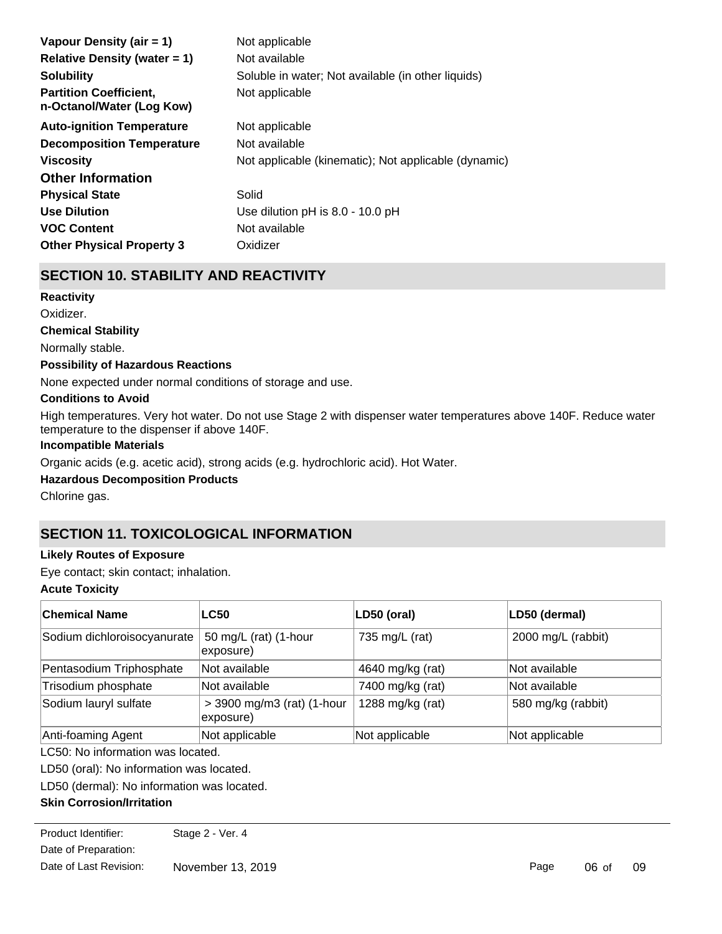| Vapour Density (air = 1)                                   | Not applicable                                       |
|------------------------------------------------------------|------------------------------------------------------|
| Relative Density (water $= 1$ )                            | Not available                                        |
| <b>Solubility</b>                                          | Soluble in water; Not available (in other liquids)   |
| <b>Partition Coefficient,</b><br>n-Octanol/Water (Log Kow) | Not applicable                                       |
| <b>Auto-ignition Temperature</b>                           | Not applicable                                       |
| <b>Decomposition Temperature</b>                           | Not available                                        |
| <b>Viscosity</b>                                           | Not applicable (kinematic); Not applicable (dynamic) |
| <b>Other Information</b>                                   |                                                      |
| <b>Physical State</b>                                      | Solid                                                |
| <b>Use Dilution</b>                                        | Use dilution pH is 8.0 - 10.0 pH                     |
| <b>VOC Content</b>                                         | Not available                                        |
| <b>Other Physical Property 3</b>                           | Oxidizer                                             |

# **SECTION 10. STABILITY AND REACTIVITY**

**Chemical Stability** Normally stable. **Conditions to Avoid Possibility of Hazardous Reactions** None expected under normal conditions of storage and use. **Reactivity** Oxidizer.

High temperatures. Very hot water. Do not use Stage 2 with dispenser water temperatures above 140F. Reduce water temperature to the dispenser if above 140F.

## **Incompatible Materials**

Organic acids (e.g. acetic acid), strong acids (e.g. hydrochloric acid). Hot Water.

## **Hazardous Decomposition Products**

Chlorine gas.

# **SECTION 11. TOXICOLOGICAL INFORMATION**

## **Likely Routes of Exposure**

Eye contact; skin contact; inhalation.

## **Acute Toxicity**

| <b>Chemical Name</b>        | <b>LC50</b>                             | LD50 (oral)      | LD50 (dermal)      |
|-----------------------------|-----------------------------------------|------------------|--------------------|
| Sodium dichloroisocyanurate | 50 mg/L (rat) (1-hour<br>exposure)      | 735 mg/L (rat)   | 2000 mg/L (rabbit) |
| Pentasodium Triphosphate    | Not available                           | 4640 mg/kg (rat) | Not available      |
| Trisodium phosphate         | Not available                           | 7400 mg/kg (rat) | Not available      |
| Sodium lauryl sulfate       | > 3900 mg/m3 (rat) (1-hour<br>exposure) | 1288 mg/kg (rat) | 580 mg/kg (rabbit) |
| Anti-foaming Agent          | Not applicable                          | Not applicable   | Not applicable     |

LC50: No information was located.

LD50 (oral): No information was located.

LD50 (dermal): No information was located.

## **Skin Corrosion/Irritation**

Date of Preparation: Product Identifier: Stage 2 - Ver. 4 Date of Last Revision: November 13, 2019

Skin contact with corrosive substances can cause skin burns.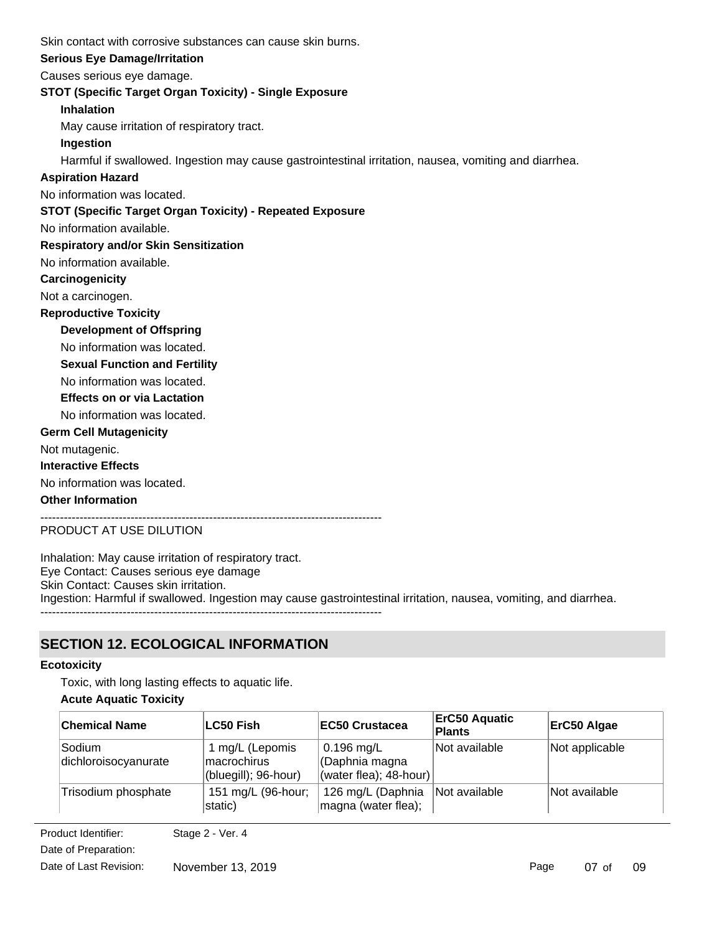Skin contact with corrosive substances can cause skin burns.

## **Serious Eye Damage/Irritation**

Causes serious eye damage.

## **STOT (Specific Target Organ Toxicity) - Single Exposure**

**Inhalation**

May cause irritation of respiratory tract.

## **Ingestion**

Harmful if swallowed. Ingestion may cause gastrointestinal irritation, nausea, vomiting and diarrhea.

## **Aspiration Hazard**

No information was located.

## **STOT (Specific Target Organ Toxicity) - Repeated Exposure**

No information available.

## **Respiratory and/or Skin Sensitization**

No information available.

## **Carcinogenicity**

Not a carcinogen.

## **Reproductive Toxicity**

**Development of Offspring**

No information was located.

**Sexual Function and Fertility**

No information was located.

## **Effects on or via Lactation**

No information was located.

## **Germ Cell Mutagenicity**

Not mutagenic.

## **Interactive Effects**

No information was located.

## **Other Information**

---------------------------------------------------------------------------------------

## PRODUCT AT USE DILUTION

Inhalation: May cause irritation of respiratory tract. Eye Contact: Causes serious eye damage Skin Contact: Causes skin irritation. Ingestion: Harmful if swallowed. Ingestion may cause gastrointestinal irritation, nausea, vomiting, and diarrhea. ---------------------------------------------------------------------------------------

# **SECTION 12. ECOLOGICAL INFORMATION**

## **Ecotoxicity**

Toxic, with long lasting effects to aquatic life.

## **Acute Aquatic Toxicity**

| <b>Chemical Name</b>           | LC50 Fish                                              | <b>EC50 Crustacea</b>                                       | <b>ErC50 Aquatic</b><br><b>Plants</b> | ErC50 Algae    |
|--------------------------------|--------------------------------------------------------|-------------------------------------------------------------|---------------------------------------|----------------|
| Sodium<br>dichloroisocyanurate | 1 mg/L (Lepomis<br>macrochirus<br>(bluegill); 96-hour) | $0.196$ mg/L<br>(Daphnia magna<br>(water flea); $48$ -hour) | Not available                         | Not applicable |
| Trisodium phosphate            | 151 mg/L (96-hour;<br>static)                          | 126 mg/L (Daphnia<br>magna (water flea);                    | Not available                         | Not available  |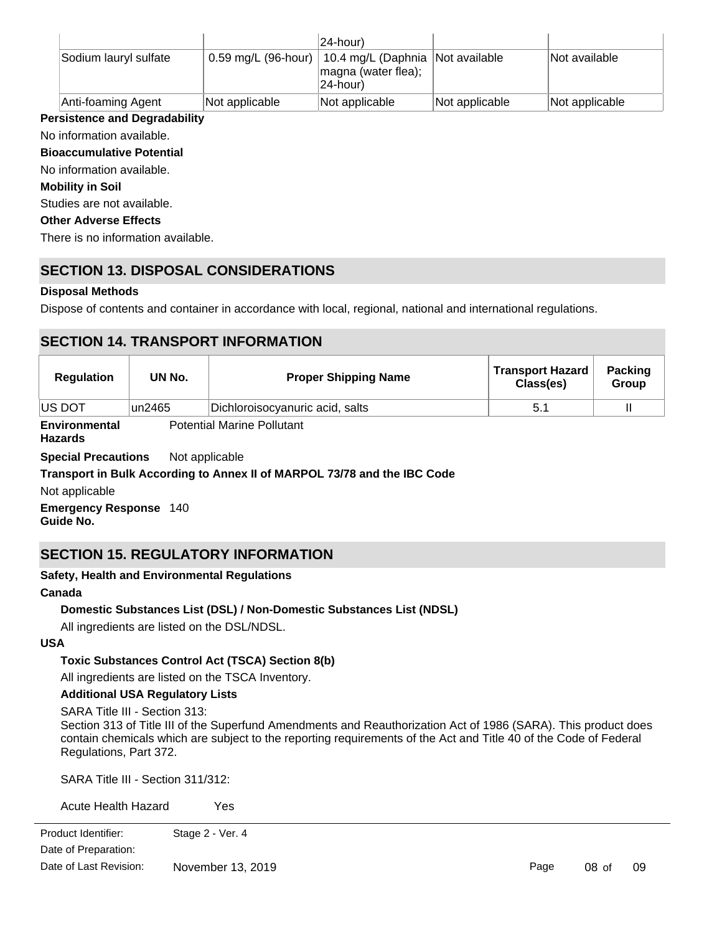|                       |                | 24-hour)                                                                                    |                |                |
|-----------------------|----------------|---------------------------------------------------------------------------------------------|----------------|----------------|
| Sodium lauryl sulfate |                | 0.59 mg/L (96-hour)   10.4 mg/L (Daphnia   Not available<br>magna (water flea);<br>24-hour) |                | Not available  |
| Anti-foaming Agent    | Not applicable | Not applicable                                                                              | Not applicable | Not applicable |

## **Persistence and Degradability**

No information available.

**Bioaccumulative Potential**

No information available.

**Mobility in Soil**

Studies are not available.

### **Other Adverse Effects**

There is no information available.

# **SECTION 13. DISPOSAL CONSIDERATIONS**

## **Disposal Methods**

Dispose of contents and container in accordance with local, regional, national and international regulations.

# **SECTION 14. TRANSPORT INFORMATION**

| <b>Regulation</b>  | UN No. | <b>Proper Shipping Name</b>     | <b>Transport Hazard</b><br>Class(es) | <b>Packing</b><br>Group |
|--------------------|--------|---------------------------------|--------------------------------------|-------------------------|
| <b>US DOT</b>      | un2465 | Dichloroisocyanuric acid, salts | 5.1                                  |                         |
| Fordance and added |        | Detected Medical Dellotant      |                                      |                         |

**Environmental Hazards** Potential Marine Pollutant

**Special Precautions** Not applicable

## **Transport in Bulk According to Annex II of MARPOL 73/78 and the IBC Code**

Not applicable

**Emergency Response** 140 **Guide No.**

# **SECTION 15. REGULATORY INFORMATION**

## **Safety, Health and Environmental Regulations**

## **Canada**

## **Domestic Substances List (DSL) / Non-Domestic Substances List (NDSL)**

All ingredients are listed on the DSL/NDSL.

## **USA**

## **Toxic Substances Control Act (TSCA) Section 8(b)**

All ingredients are listed on the TSCA Inventory.

## **Additional USA Regulatory Lists**

SARA Title III - Section 313:

Section 313 of Title III of the Superfund Amendments and Reauthorization Act of 1986 (SARA). This product does contain chemicals which are subject to the reporting requirements of the Act and Title 40 of the Code of Federal Regulations, Part 372.

09

SARA Title III - Section 311/312:

| Acute Health Hazard    | Yes               |      |          |
|------------------------|-------------------|------|----------|
| Product Identifier:    | Stage 2 - Ver. 4  |      |          |
| Date of Preparation:   |                   |      |          |
| Date of Last Revision: | November 13, 2019 | Page | $08o$ of |